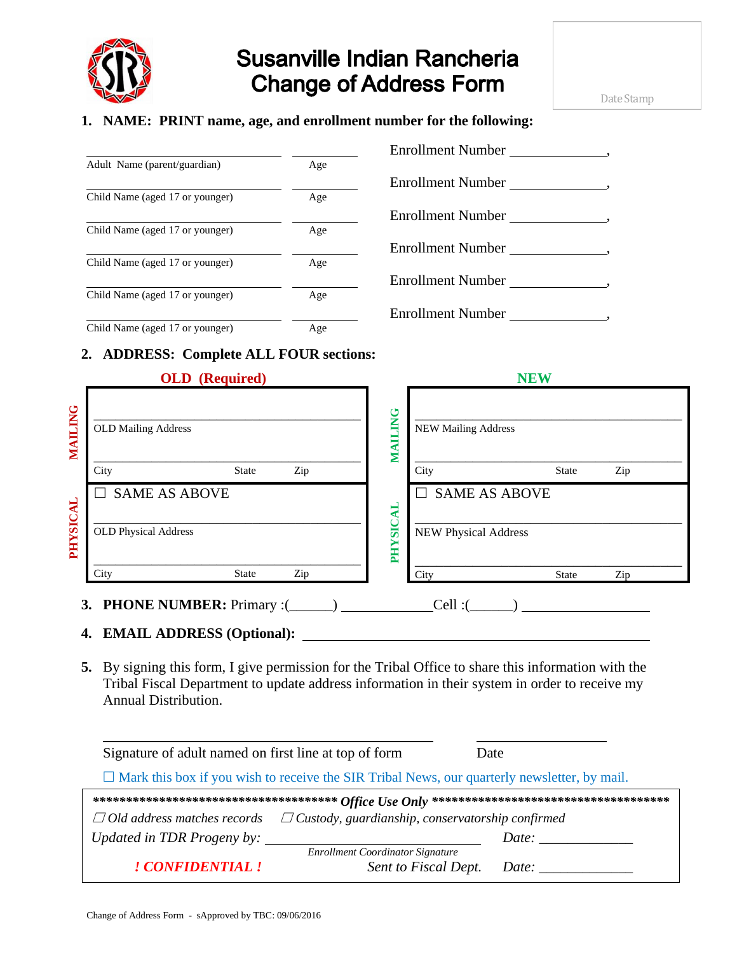

# **Susanville Indian Rancheria Change of Address Form**

### **1. NAME: PRINT name, age, and enrollment number for the following:**

| Adult Name (parent/guardian)    | Age |
|---------------------------------|-----|
| Child Name (aged 17 or younger) | Age |
| Child Name (aged 17 or younger) | Age |
| Child Name (aged 17 or younger) | Age |
| Child Name (aged 17 or younger) | Age |
| Child Name (aged 17 or vounger) | Δαρ |

| Enrollment Number        |
|--------------------------|
| Enrollment Number        |
| Enrollment Number        |
| Enrollment Number        |
| Enrollment Number        |
| <b>Enrollment Number</b> |

### Child Name (aged 17 or younger) Age

#### **2. ADDRESS: Complete ALL FOUR sections:**

|                |                                       | <b>OLD</b> (Required) |     |               |                             | <b>NEW</b>           |     |  |
|----------------|---------------------------------------|-----------------------|-----|---------------|-----------------------------|----------------------|-----|--|
| <b>MAILING</b> | <b>OLD Mailing Address</b>            |                       |     | MAILING       | <b>NEW Mailing Address</b>  |                      |     |  |
|                | City                                  | <b>State</b>          | Zip |               | City                        | <b>State</b>         | Zip |  |
|                | $\Box$ SAME AS ABOVE                  |                       |     | AL            |                             | <b>SAME AS ABOVE</b> |     |  |
| PHYSICAL       | <b>OLD Physical Address</b>           |                       |     | <b>PHYSIC</b> | <b>NEW Physical Address</b> |                      |     |  |
|                | City                                  | <b>State</b>          | Zip |               | City                        | <b>State</b>         | Zip |  |
|                | <b>PHONE NUMBER:</b> Primary :(<br>3. |                       |     |               | Cell:                       |                      |     |  |

## **4. EMAIL ADDRESS (Optional):**

**5.** By signing this form, I give permission for the Tribal Office to share this information with the Tribal Fiscal Department to update address information in their system in order to receive my Annual Distribution.

| Signature of a dult named on first line at top of form                                              |                                  | Date  |  |  |
|-----------------------------------------------------------------------------------------------------|----------------------------------|-------|--|--|
| $\Box$ Mark this box if you wish to receive the SIR Tribal News, our quarterly newsletter, by mail. |                                  |       |  |  |
|                                                                                                     |                                  |       |  |  |
| $\Box$ Custody, guardianship, conservatorship confirmed<br>$\Box$ Old address matches records       |                                  |       |  |  |
| Updated in TDR Progeny by:                                                                          |                                  | Date: |  |  |
|                                                                                                     | Enrollment Coordinator Signature |       |  |  |
| ! CONFIDENTIAL !                                                                                    | Sent to Fiscal Dept.             | Date: |  |  |